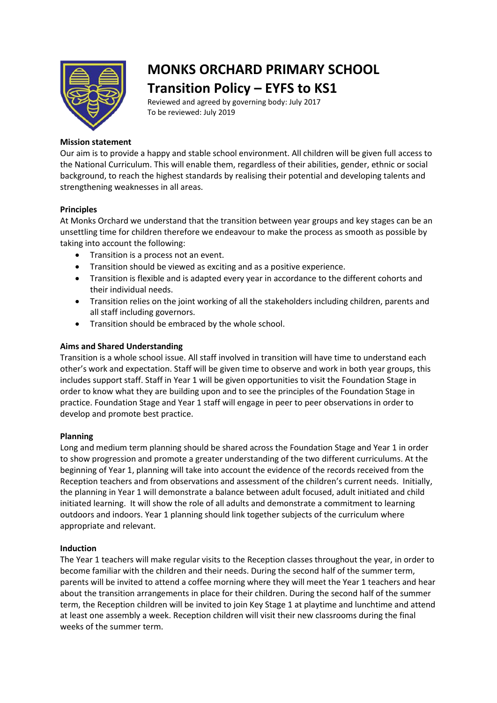

# **MONKS ORCHARD PRIMARY SCHOOL Transition Policy – EYFS to KS1**

Reviewed and agreed by governing body: July 2017 To be reviewed: July 2019

# **Mission statement**

Our aim is to provide a happy and stable school environment. All children will be given full access to the National Curriculum. This will enable them, regardless of their abilities, gender, ethnic or social background, to reach the highest standards by realising their potential and developing talents and strengthening weaknesses in all areas.

## **Principles**

At Monks Orchard we understand that the transition between year groups and key stages can be an unsettling time for children therefore we endeavour to make the process as smooth as possible by taking into account the following:

- Transition is a process not an event.
- Transition should be viewed as exciting and as a positive experience.
- Transition is flexible and is adapted every year in accordance to the different cohorts and their individual needs.
- Transition relies on the joint working of all the stakeholders including children, parents and all staff including governors.
- Transition should be embraced by the whole school.

### **Aims and Shared Understanding**

Transition is a whole school issue. All staff involved in transition will have time to understand each other's work and expectation. Staff will be given time to observe and work in both year groups, this includes support staff. Staff in Year 1 will be given opportunities to visit the Foundation Stage in order to know what they are building upon and to see the principles of the Foundation Stage in practice. Foundation Stage and Year 1 staff will engage in peer to peer observations in order to develop and promote best practice.

#### **Planning**

Long and medium term planning should be shared across the Foundation Stage and Year 1 in order to show progression and promote a greater understanding of the two different curriculums. At the beginning of Year 1, planning will take into account the evidence of the records received from the Reception teachers and from observations and assessment of the children's current needs. Initially, the planning in Year 1 will demonstrate a balance between adult focused, adult initiated and child initiated learning. It will show the role of all adults and demonstrate a commitment to learning outdoors and indoors. Year 1 planning should link together subjects of the curriculum where appropriate and relevant.

#### **Induction**

The Year 1 teachers will make regular visits to the Reception classes throughout the year, in order to become familiar with the children and their needs. During the second half of the summer term, parents will be invited to attend a coffee morning where they will meet the Year 1 teachers and hear about the transition arrangements in place for their children. During the second half of the summer term, the Reception children will be invited to join Key Stage 1 at playtime and lunchtime and attend at least one assembly a week. Reception children will visit their new classrooms during the final weeks of the summer term.